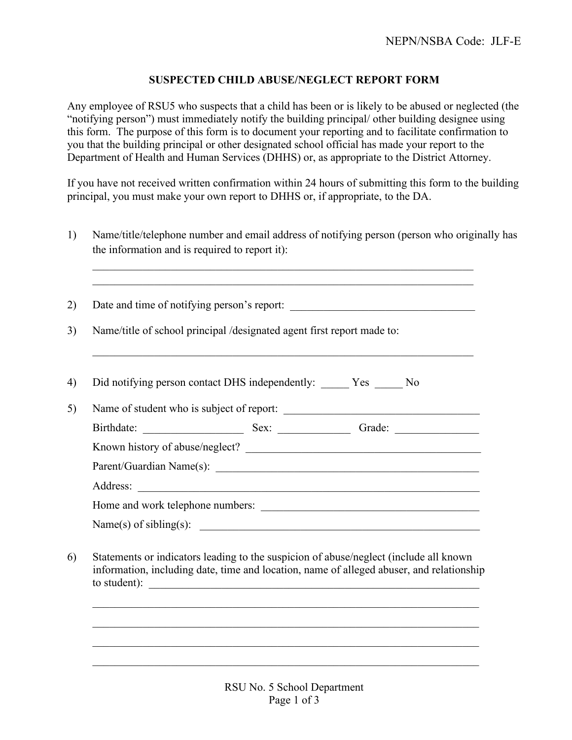## **SUSPECTED CHILD ABUSE/NEGLECT REPORT FORM**

Any employee of RSU5 who suspects that a child has been or is likely to be abused or neglected (the "notifying person") must immediately notify the building principal/ other building designee using this form. The purpose of this form is to document your reporting and to facilitate confirmation to you that the building principal or other designated school official has made your report to the Department of Health and Human Services (DHHS) or, as appropriate to the District Attorney.

If you have not received written confirmation within 24 hours of submitting this form to the building principal, you must make your own report to DHHS or, if appropriate, to the DA.

1) Name/title/telephone number and email address of notifying person (person who originally has the information and is required to report it):

 $\mathcal{L}_\mathcal{L} = \mathcal{L}_\mathcal{L} = \mathcal{L}_\mathcal{L} = \mathcal{L}_\mathcal{L} = \mathcal{L}_\mathcal{L} = \mathcal{L}_\mathcal{L} = \mathcal{L}_\mathcal{L} = \mathcal{L}_\mathcal{L} = \mathcal{L}_\mathcal{L} = \mathcal{L}_\mathcal{L} = \mathcal{L}_\mathcal{L} = \mathcal{L}_\mathcal{L} = \mathcal{L}_\mathcal{L} = \mathcal{L}_\mathcal{L} = \mathcal{L}_\mathcal{L} = \mathcal{L}_\mathcal{L} = \mathcal{L}_\mathcal{L}$  $\mathcal{L}_\mathcal{L} = \mathcal{L}_\mathcal{L} = \mathcal{L}_\mathcal{L} = \mathcal{L}_\mathcal{L} = \mathcal{L}_\mathcal{L} = \mathcal{L}_\mathcal{L} = \mathcal{L}_\mathcal{L} = \mathcal{L}_\mathcal{L} = \mathcal{L}_\mathcal{L} = \mathcal{L}_\mathcal{L} = \mathcal{L}_\mathcal{L} = \mathcal{L}_\mathcal{L} = \mathcal{L}_\mathcal{L} = \mathcal{L}_\mathcal{L} = \mathcal{L}_\mathcal{L} = \mathcal{L}_\mathcal{L} = \mathcal{L}_\mathcal{L}$ 

 $\mathcal{L}_\mathcal{L} = \mathcal{L}_\mathcal{L} = \mathcal{L}_\mathcal{L} = \mathcal{L}_\mathcal{L} = \mathcal{L}_\mathcal{L} = \mathcal{L}_\mathcal{L} = \mathcal{L}_\mathcal{L} = \mathcal{L}_\mathcal{L} = \mathcal{L}_\mathcal{L} = \mathcal{L}_\mathcal{L} = \mathcal{L}_\mathcal{L} = \mathcal{L}_\mathcal{L} = \mathcal{L}_\mathcal{L} = \mathcal{L}_\mathcal{L} = \mathcal{L}_\mathcal{L} = \mathcal{L}_\mathcal{L} = \mathcal{L}_\mathcal{L}$ 

2) Date and time of notifying person's report:

3) Name/title of school principal /designated agent first report made to:

| 4) Did notifying person contact DHS independently: Yes No                                                                                                                                                                                                                                                                                              |  |  |
|--------------------------------------------------------------------------------------------------------------------------------------------------------------------------------------------------------------------------------------------------------------------------------------------------------------------------------------------------------|--|--|
| $\mathcal{L}$ at $\mathcal{L}$ $\mathcal{L}$ $\mathcal{L}$ $\mathcal{L}$ $\mathcal{L}$ $\mathcal{L}$ $\mathcal{L}$ $\mathcal{L}$ $\mathcal{L}$ $\mathcal{L}$ $\mathcal{L}$ $\mathcal{L}$ $\mathcal{L}$ $\mathcal{L}$ $\mathcal{L}$ $\mathcal{L}$ $\mathcal{L}$ $\mathcal{L}$ $\mathcal{L}$ $\mathcal{L}$ $\mathcal{L}$ $\mathcal{L}$ $\mathcal{L}$ $\$ |  |  |

| 5) | Name of student who is subject of report: |      |        |  |  |
|----|-------------------------------------------|------|--------|--|--|
|    | Birthdate:                                | Sex: | Grade: |  |  |
|    | Known history of abuse/neglect?           |      |        |  |  |
|    | Parent/Guardian Name(s):                  |      |        |  |  |
|    | Address:                                  |      |        |  |  |
|    | Home and work telephone numbers:          |      |        |  |  |
|    |                                           |      |        |  |  |

6) Statements or indicators leading to the suspicion of abuse/neglect (include all known information, including date, time and location, name of alleged abuser, and relationship to student):  $\qquad \qquad \qquad$ 

 $\mathcal{L}_\mathcal{L} = \mathcal{L}_\mathcal{L} = \mathcal{L}_\mathcal{L} = \mathcal{L}_\mathcal{L} = \mathcal{L}_\mathcal{L} = \mathcal{L}_\mathcal{L} = \mathcal{L}_\mathcal{L} = \mathcal{L}_\mathcal{L} = \mathcal{L}_\mathcal{L} = \mathcal{L}_\mathcal{L} = \mathcal{L}_\mathcal{L} = \mathcal{L}_\mathcal{L} = \mathcal{L}_\mathcal{L} = \mathcal{L}_\mathcal{L} = \mathcal{L}_\mathcal{L} = \mathcal{L}_\mathcal{L} = \mathcal{L}_\mathcal{L}$ 

 $\mathcal{L}_\mathcal{L} = \mathcal{L}_\mathcal{L} = \mathcal{L}_\mathcal{L} = \mathcal{L}_\mathcal{L} = \mathcal{L}_\mathcal{L} = \mathcal{L}_\mathcal{L} = \mathcal{L}_\mathcal{L} = \mathcal{L}_\mathcal{L} = \mathcal{L}_\mathcal{L} = \mathcal{L}_\mathcal{L} = \mathcal{L}_\mathcal{L} = \mathcal{L}_\mathcal{L} = \mathcal{L}_\mathcal{L} = \mathcal{L}_\mathcal{L} = \mathcal{L}_\mathcal{L} = \mathcal{L}_\mathcal{L} = \mathcal{L}_\mathcal{L}$ 

 $\mathcal{L}_\text{max} = \frac{1}{2} \sum_{i=1}^n \mathcal{L}_\text{max}(\mathbf{z}_i - \mathbf{z}_i)$ 

 $\mathcal{L}_\mathcal{L} = \mathcal{L}_\mathcal{L} = \mathcal{L}_\mathcal{L} = \mathcal{L}_\mathcal{L} = \mathcal{L}_\mathcal{L} = \mathcal{L}_\mathcal{L} = \mathcal{L}_\mathcal{L} = \mathcal{L}_\mathcal{L} = \mathcal{L}_\mathcal{L} = \mathcal{L}_\mathcal{L} = \mathcal{L}_\mathcal{L} = \mathcal{L}_\mathcal{L} = \mathcal{L}_\mathcal{L} = \mathcal{L}_\mathcal{L} = \mathcal{L}_\mathcal{L} = \mathcal{L}_\mathcal{L} = \mathcal{L}_\mathcal{L}$ 

Name(s) of sibling(s):  $\qquad \qquad$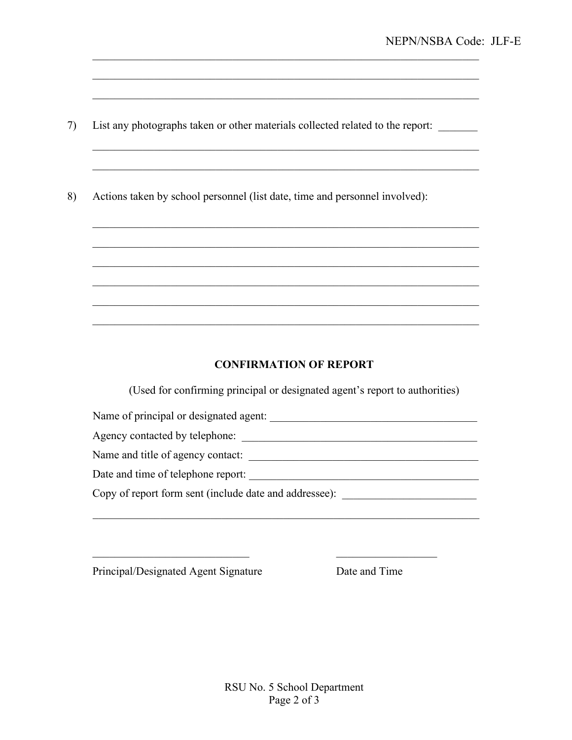List any photographs taken or other materials collected related to the report: 7)

8) Actions taken by school personnel (list date, time and personnel involved):

## **CONFIRMATION OF REPORT**

(Used for confirming principal or designated agent's report to authorities)

Name of principal or designated agent:

Name and title of agency contact:

Date and time of telephone report:

Copy of report form sent (include date and addressee): \_\_\_\_\_\_\_\_\_\_\_\_\_\_\_\_\_\_\_\_\_\_\_\_\_

Principal/Designated Agent Signature

Date and Time